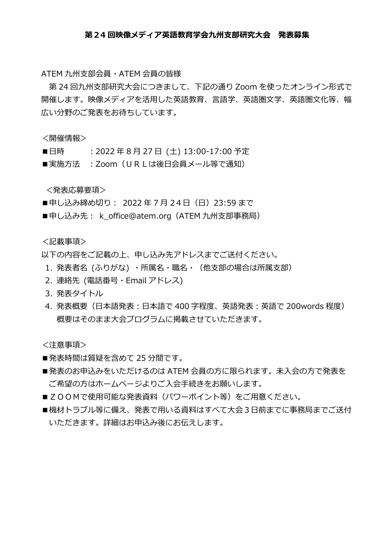## **第24 回映像メディア英語教育学会九州支部研究大会 発表募集**

ATEM 九州支部会員・ATEM 会員の皆様

第 24 回九州支部研究大会につきまして、下記の通り Zoom を使ったオンライン形式で 開催します。映像メディアを活用した英語教育、言語学、英語圏文学、英語圏文化等、幅 広い分野のご発表をお待ちしています。

<開催情報>

- ■日時 :2022 年 8 月 27 日 (土) 13:00-17:00 予定
- ■実施方法 : Zoom (URLは後日会員メール等で通知)

<発表応募要項>

- ■申し込み締め切り: 2022年7月24日 (日) 23:59 まで
- ■申し込み先: k\_office@atem.org (ATEM 九州支部事務局)

<記載事項>

以下の内容をご記載の上、申し込み先アドレスまでご送付ください。

- 1. 発表者名 (ふりがな) ・所属名・職名・(他支部の場合は所属支部)
- 2. 連絡先 (電話番号・Email アドレス)
- 3. 発表タイトル
- 4. 発表概要(日本語発表:日本語で 400 字程度、英語発表:英語で 200words 程度) 概要はそのまま大会プログラムに掲載させていただきます。

<注意事項>

- ■発表時間は質疑を含めて 25 分間です。
- ■発表のお申込みをいただけるのは ATEM 会員の方に限られます。 未入会の方で発表を ご希望の方はホームページよりご入会手続きをお願いします。
- ■ZOOMで使用可能な発表資料(パワーポイント等)をご用意ください。
- ■機材トラブル等に備え、発表で用いる資料はすべて大会3日前までに事務局までご送付 いただきます。詳細はお申込み後にお伝えします。